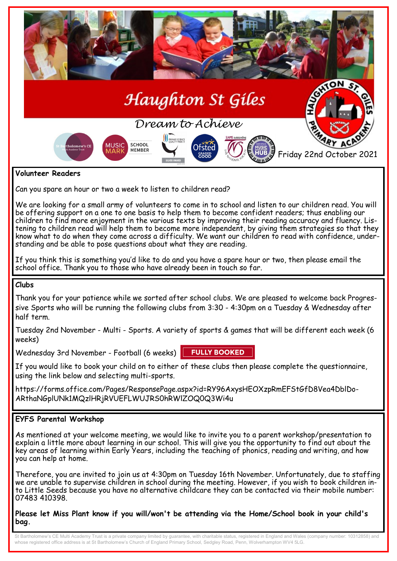

Can you spare an hour or two a week to listen to children read?

We are looking for a small army of volunteers to come in to school and listen to our children read. You will be offering support on a one to one basis to help them to become confident readers; thus enabling our children to find more enjoyment in the various texts by improving their reading accuracy and fluency. Listening to children read will help them to become more independent, by giving them strategies so that they know what to do when they come across a difficulty. We want our children to read with confidence, understanding and be able to pose questions about what they are reading.

If you think this is something you'd like to do and you have a spare hour or two, then please email the school office. Thank you to those who have already been in touch so far.

#### **Clubs**

Thank you for your patience while we sorted after school clubs. We are pleased to welcome back Progressive Sports who will be running the following clubs from 3:30 - 4:30pm on a Tuesday & Wednesday after half term.

Tuesday 2nd November - Multi - Sports. A variety of sports & games that will be different each week (6 weeks)

Wednesday 3rd November - Football (6 weeks)

**FULLY BOOKED** 

If you would like to book your child on to either of these clubs then please complete the questionnaire, using the link below and selecting multi-sports.

https://forms.office.com/Pages/ResponsePage.aspx?id=RY96AxysHEOXzpRmEFStGfD8Vea4DblDo-ARthaNGplUNk1MQzlHRjRVUEFLWUJRS0hRWlZOQ0Q3Wi4u

# **EYFS Parental Workshop**

As mentioned at your welcome meeting, we would like to invite you to a parent workshop/presentation to explain a little more about learning in our school. This will give you the opportunity to find out about the key areas of learning within Early Years, including the teaching of phonics, reading and writing, and how you can help at home.

Therefore, you are invited to join us at 4:30pm on Tuesday 16th November. Unfortunately, due to staffing we are unable to supervise children in school during the meeting. However, if you wish to book children into Little Seeds because you have no alternative childcare they can be contacted via their mobile number: 07483 410398.

**Please let Miss Plant know if you will/won't be attending via the Home/School book in your child's bag.**

St Bartholomew's CE Multi Academy Trust is a private company limited by guarantee, with charitable status, registered in England and Wales (company number: 10312858) and whose registered office address is at St Bartholomew's Church of England Primary School, Sedgley Road, Penn, Wolverhampton WV4 5LG.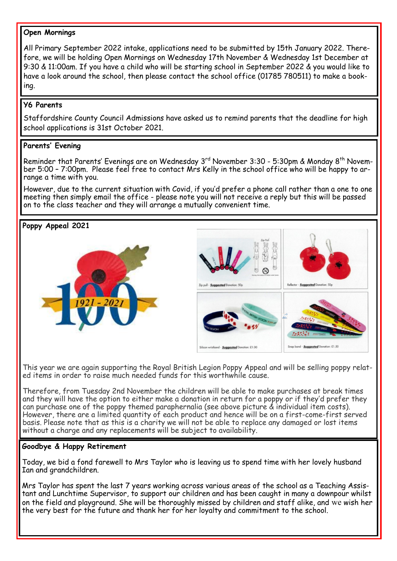## **Open Mornings**

All Primary September 2022 intake, applications need to be submitted by 15th January 2022. Therefore, we will be holding Open Mornings on Wednesday 17th November & Wednesday 1st December at 9:30 & 11:00am. If you have a child who will be starting school in September 2022 & you would like to have a look around the school, then please contact the school office (01785 780511) to make a booking.

# **Y6 Parents**

Staffordshire County Council Admissions have asked us to remind parents that the deadline for high school applications is 31st October 2021.

# **Parents' Evening**

Reminder that Parents' Evenings are on Wednesday  $3^{rd}$  November 3:30 - 5:30pm & Monday  $8^{th}$  November 5:00 – 7:00pm. Please feel free to contact Mrs Kelly in the school office who will be happy to arrange a time with you.

However, due to the current situation with Covid, if you'd prefer a phone call rather than a one to one meeting then simply email the office - please note you will not receive a reply but this will be passed on to the class teacher and they will arrange a mutually convenient time.

**Poppy Appeal 2021**





This year we are again supporting the Royal British Legion Poppy Appeal and will be selling poppy related items in order to raise much needed funds for this worthwhile cause.

Therefore, from Tuesday 2nd November the children will be able to make purchases at break times and they will have the option to either make a donation in return for a poppy or if they'd prefer they can purchase one of the poppy themed paraphernalia (see above picture & individual item costs). However, there are a limited quantity of each product and hence will be on a first-come-first served basis. Please note that as this is a charity we will not be able to replace any damaged or lost items without a charge and any replacements will be subject to availability.

# **Goodbye & Happy Retirement**

Today, we bid a fond farewell to Mrs Taylor who is leaving us to spend time with her lovely husband Ian and grandchildren.

Mrs Taylor has spent the last 7 years working across various areas of the school as a Teaching Assistant and Lunchtime Supervisor, to support our children and has been caught in many a downpour whilst on the field and playground. She will be thoroughly missed by children and staff alike, and we wish her the very best for the future and thank her for her loyalty and commitment to the school.